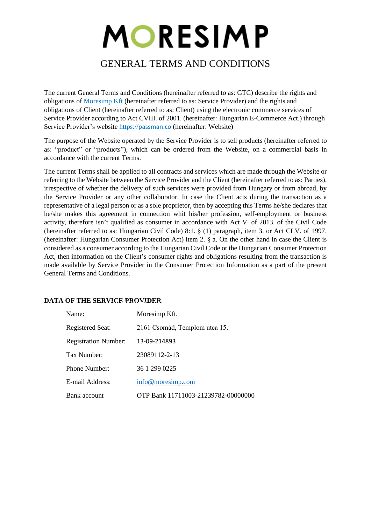# MORESIMP

### GENERAL TERMS AND CONDITIONS

The current General Terms and Conditions (hereinafter referred to as: GTC) describe the rights and obligations of Moresimp Kft (hereinafter referred to as: Service Provider) and the rights and obligations of Client (hereinafter referred to as: Client) using the electronic commerce services of Service Provider according to Act CVIII. of 2001. (hereinafter: Hungarian E-Commerce Act.) through Service Provider's website https://[passman.co](https://moresimp.com/) (hereinafter: Website)

The purpose of the Website operated by the Service Provider is to sell products (hereinafter referred to as: "product" or "products"), which can be ordered from the Website, on a commercial basis in accordance with the current Terms.

The current Terms shall be applied to all contracts and services which are made through the Website or referring to the Website between the Service Provider and the Client (hereinafter referred to as: Parties), irrespective of whether the delivery of such services were provided from Hungary or from abroad, by the Service Provider or any other collaborator. In case the Client acts during the transaction as a representative of a legal person or as a sole proprietor, then by accepting this Terms he/she declares that he/she makes this agreement in connection whit his/her profession, self-employment or business activity, therefore isn't qualified as consumer in accordance with Act V. of 2013. of the Civil Code (hereinafter referred to as: Hungarian Civil Code) 8:1. § (1) paragraph, item 3. or Act CLV. of 1997. (hereinafter: Hungarian Consumer Protection Act) item 2. § a. On the other hand in case the Client is considered as a consumer according to the Hungarian Civil Code or the Hungarian Consumer Protection Act, then information on the Client's consumer rights and obligations resulting from the transaction is made available by Service Provider in the Consumer Protection Information as a part of the present General Terms and Conditions.

## **DATA OF THE SERVICE PROVIDER**

| Name:                       | Moresimp Kft.                       |
|-----------------------------|-------------------------------------|
| Registered Seat:            | 2161 Csomád, Templom utca 15.       |
| <b>Registration Number:</b> | 13-09-214893                        |
| Tax Number:                 | 23089112-2-13                       |
| Phone Number:               | 36 1 299 0225                       |
| E-mail Address:             | info@moresimp.com                   |
| Bank account                | OTP Bank 11711003-21239782-00000000 |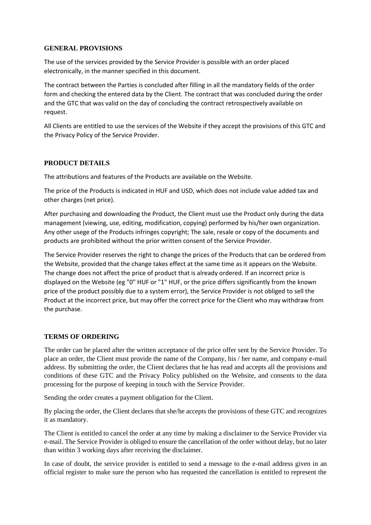#### **GENERAL PROVISIONS**

The use of the services provided by the Service Provider is possible with an order placed electronically, in the manner specified in this document.

The contract between the Parties is concluded after filling in all the mandatory fields of the order form and checking the entered data by the Client. The contract that was concluded during the order and the GTC that was valid on the day of concluding the contract retrospectively available on request.

All Clients are entitled to use the services of the Website if they accept the provisions of this GTC and the Privacy Policy of the Service Provider.

#### **PRODUCT DETAILS**

The attributions and features of the Products are available on the Website.

The price of the Products is indicated in HUF and USD, which does not include value added tax and other charges (net price).

After purchasing and downloading the Product, the Client must use the Product only during the data management (viewing, use, editing, modification, copying) performed by his/her own organization. Any other usege of the Products infringes copyright; The sale, resale or copy of the documents and products are prohibited without the prior written consent of the Service Provider.

The Service Provider reserves the right to change the prices of the Products that can be ordered from the Website, provided that the change takes effect at the same time as it appears on the Website. The change does not affect the price of product that is already ordered. If an incorrect price is displayed on the Website (eg "0" HUF or "1" HUF, or the price differs significantly from the known price of the product possibly due to a system error), the Service Provider is not obliged to sell the Product at the incorrect price, but may offer the correct price for the Client who may withdraw from the purchase.

#### **TERMS OF ORDERING**

The order can be placed after the written acceptance of the price offer sent by the Service Provider. To place an order, the Client must provide the name of the Company, his / her name, and company e-mail address. By submitting the order, the Client declares that he has read and accepts all the provisions and conditions of these GTC and the Privacy Policy published on the Website, and consents to the data processing for the purpose of keeping in touch with the Service Provider.

Sending the order creates a payment obligation for the Client.

By placing the order, the Client declares that she/he accepts the provisions of these GTC and recognizes it as mandatory.

The Client is entitled to cancel the order at any time by making a disclaimer to the Service Provider via e-mail. The Service Provider is obliged to ensure the cancellation of the order without delay, but no later than within 3 working days after receiving the disclaimer.

In case of doubt, the service provider is entitled to send a message to the e-mail address given in an official register to make sure the person who has requested the cancellation is entitled to represent the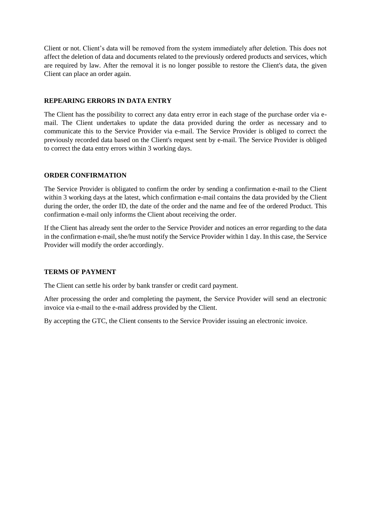Client or not. Client's data will be removed from the system immediately after deletion. This does not affect the deletion of data and documents related to the previously ordered products and services, which are required by law. After the removal it is no longer possible to restore the Client's data, the given Client can place an order again.

#### **REPEARING ERRORS IN DATA ENTRY**

The Client has the possibility to correct any data entry error in each stage of the purchase order via email. The Client undertakes to update the data provided during the order as necessary and to communicate this to the Service Provider via e-mail. The Service Provider is obliged to correct the previously recorded data based on the Client's request sent by e-mail. The Service Provider is obliged to correct the data entry errors within 3 working days.

#### **ORDER CONFIRMATION**

The Service Provider is obligated to confirm the order by sending a confirmation e-mail to the Client within 3 working days at the latest, which confirmation e-mail contains the data provided by the Client during the order, the order ID, the date of the order and the name and fee of the ordered Product. This confirmation e-mail only informs the Client about receiving the order.

If the Client has already sent the order to the Service Provider and notices an error regarding to the data in the confirmation e-mail, she/he must notify the Service Provider within 1 day. In this case, the Service Provider will modify the order accordingly.

#### **TERMS OF PAYMENT**

The Client can settle his order by bank transfer or credit card payment.

After processing the order and completing the payment, the Service Provider will send an electronic invoice via e-mail to the e-mail address provided by the Client.

By accepting the GTC, the Client consents to the Service Provider issuing an electronic invoice.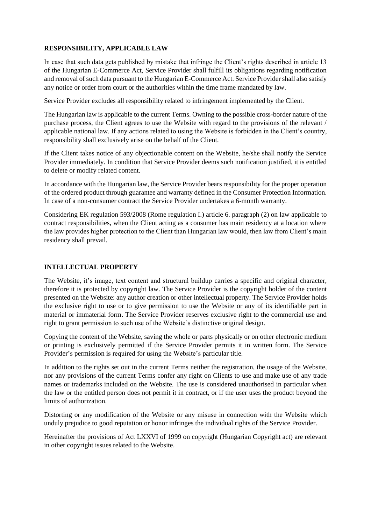#### **RESPONSIBILITY, APPLICABLE LAW**

In case that such data gets published by mistake that infringe the Client's rights described in article 13 of the Hungarian E-Commerce Act, Service Provider shall fulfill its obligations regarding notification and removal of such data pursuant to the Hungarian E-Commerce Act. Service Provider shall also satisfy any notice or order from court or the authorities within the time frame mandated by law.

Service Provider excludes all responsibility related to infringement implemented by the Client.

The Hungarian law is applicable to the current Terms. Owning to the possible cross-border nature of the purchase process, the Client agrees to use the Website with regard to the provisions of the relevant / applicable national law. If any actions related to using the Website is forbidden in the Client's country, responsibility shall exclusively arise on the behalf of the Client.

If the Client takes notice of any objectionable content on the Website, he/she shall notify the Service Provider immediately. In condition that Service Provider deems such notification justified, it is entitled to delete or modify related content.

In accordance with the Hungarian law, the Service Provider bears responsibility for the proper operation of the ordered product through guarantee and warranty defined in the Consumer Protection Information. In case of a non-consumer contract the Service Provider undertakes a 6-month warranty.

Considering EK regulation 593/2008 (Rome regulation I.) article 6. paragraph (2) on law applicable to contract responsibilities, when the Client acting as a consumer has main residency at a location where the law provides higher protection to the Client than Hungarian law would, then law from Client's main residency shall prevail.

#### **INTELLECTUAL PROPERTY**

The Website, it's image, text content and structural buildup carries a specific and original character, therefore it is protected by copyright law. The Service Provider is the copyright holder of the content presented on the Website: any author creation or other intellectual property. The Service Provider holds the exclusive right to use or to give permission to use the Website or any of its identifiable part in material or immaterial form. The Service Provider reserves exclusive right to the commercial use and right to grant permission to such use of the Website's distinctive original design.

Copying the content of the Website, saving the whole or parts physically or on other electronic medium or printing is exclusively permitted if the Service Provider permits it in written form. The Service Provider's permission is required for using the Website's particular title.

In addition to the rights set out in the current Terms neither the registration, the usage of the Website, nor any provisions of the current Terms confer any right on Clients to use and make use of any trade names or trademarks included on the Website. The use is considered unauthorised in particular when the law or the entitled person does not permit it in contract, or if the user uses the product beyond the limits of authorization.

Distorting or any modification of the Website or any misuse in connection with the Website which unduly prejudice to good reputation or honor infringes the individual rights of the Service Provider.

Hereinafter the provisions of Act LXXVI of 1999 on copyright (Hungarian Copyright act) are relevant in other copyright issues related to the Website.